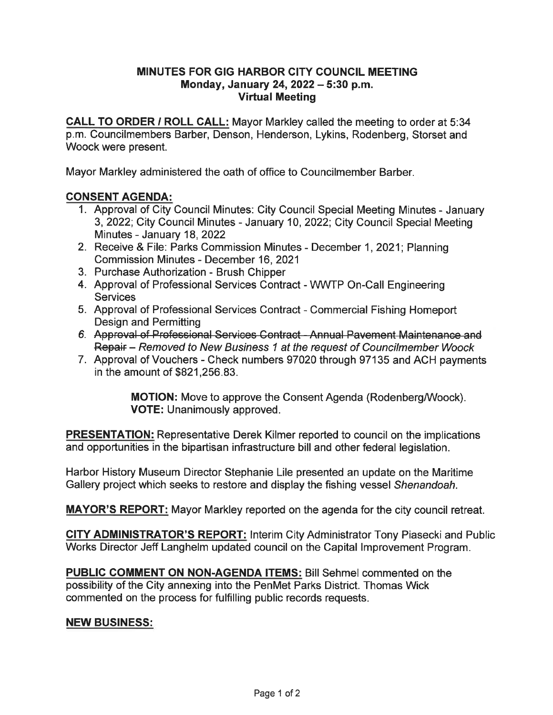## MINUTES FOR GIG HARBOR CITY COUNCIL MEETING Monday, January 24, 2022 - 5:30 p.m. Virtual Meeting

CALL TO ORDER / ROLL CALL: Mayor Markley called the meeting to order at 5:34 p.m. Councilmembers Barber, Denson, Henderson, Lykins, Rodenberg, Storset and Woock were present.

Mayor Markley administered the oath of office to Councilmember Barber.

## CONSENT AGENDA:

- 1. Approval of City Council Minutes: City Council Special Meeting Minutes January 3, 2022; City Council Minutes - January 10, 2022; City Council Special Meeting Minutes - January 18, 2022
- 2. Receive & File: Parks Commission Minutes December 1, 2021; Planning Commission Minutes - December 16, 2021
- 3. Purchase Authorization Brush Chipper
- 4. Approval of Professional Services Contract WWTP On-Call Engineering **Services**
- 5. Approval of Professional Services Contract Commercial Fishing Homeport Design and Permitting
- 6. Approval of Professional Services Contract Annual Pavement Maintenance and Repair - Removed to New Business 1 at the request of Councilmember Woock
- 7. Approval of Vouchers Check numbers 97020 through 97135 and ACH payments in the amount of \$821 ,256.83.

MOTION: Move to approve the Consent Agenda (Rodenberg/Woock). VOTE: Unanimously approved.

**PRESENTATION:** Representative Derek Kilmer reported to council on the implications and opportunities in the bipartisan infrastructure bill and other federal legislation.

Harbor History Museum Director Stephanie Lile presented an update on the Maritime Gallery project which seeks to restore and display the fishing vessel Shenandoah.

MAYOR'S REPORT: Mayor Markley reported on the agenda for the city council retreat.

CITY ADMINISTRATOR'S REPORT: Interim City Administrator Tony Piasecki and Public Works Director Jeff Langhelm updated council on the Capital Improvement Program.

PUBLIC COMMENT ON NON-AGENDA ITEMS: Bill Sehmel commented on the possibility of the City annexing into the PenMet Parks District. Thomas Wick commented on the process for fulfilling public records requests.

## NEW BUSINESS: